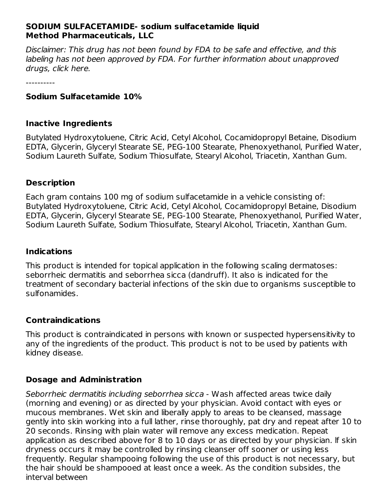#### **SODIUM SULFACETAMIDE- sodium sulfacetamide liquid Method Pharmaceuticals, LLC**

Disclaimer: This drug has not been found by FDA to be safe and effective, and this labeling has not been approved by FDA. For further information about unapproved drugs, click here.

----------

#### **Sodium Sulfacetamide 10%**

#### **Inactive Ingredients**

Butylated Hydroxytoluene, Citric Acid, Cetyl Alcohol, Cocamidopropyl Betaine, Disodium EDTA, Glycerin, Glyceryl Stearate SE, PEG-100 Stearate, Phenoxyethanol, Purified Water, Sodium Laureth Sulfate, Sodium Thiosulfate, Stearyl Alcohol, Triacetin, Xanthan Gum.

#### **Description**

Each gram contains 100 mg of sodium sulfacetamide in a vehicle consisting of: Butylated Hydroxytoluene, Citric Acid, Cetyl Alcohol, Cocamidopropyl Betaine, Disodium EDTA, Glycerin, Glyceryl Stearate SE, PEG-100 Stearate, Phenoxyethanol, Purified Water, Sodium Laureth Sulfate, Sodium Thiosulfate, Stearyl Alcohol, Triacetin, Xanthan Gum.

#### **Indications**

This product is intended for topical application in the following scaling dermatoses: seborrheic dermatitis and seborrhea sicca (dandruff). It also is indicated for the treatment of secondary bacterial infections of the skin due to organisms susceptible to sulfonamides.

#### **Contraindications**

This product is contraindicated in persons with known or suspected hypersensitivity to any of the ingredients of the product. This product is not to be used by patients with kidney disease.

### **Dosage and Administration**

Seborrheic dermatitis including seborrhea sicca - Wash affected areas twice daily (morning and evening) or as directed by your physician. Avoid contact with eyes or mucous membranes. Wet skin and liberally apply to areas to be cleansed, massage gently into skin working into a full lather, rinse thoroughly, pat dry and repeat after 10 to 20 seconds. Rinsing with plain water will remove any excess medication. Repeat application as described above for 8 to 10 days or as directed by your physician. lf skin dryness occurs it may be controlled by rinsing cleanser off sooner or using less frequently. Regular shampooing following the use of this product is not necessary, but the hair should be shampooed at least once a week. As the condition subsides, the interval between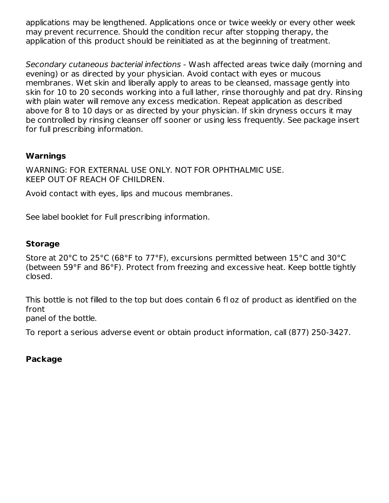applications may be lengthened. Applications once or twice weekly or every other week may prevent recurrence. Should the condition recur after stopping therapy, the application of this product should be reinitiated as at the beginning of treatment.

Secondary cutaneous bacterial infections - Wash affected areas twice daily (morning and evening) or as directed by your physician. Avoid contact with eyes or mucous membranes. Wet skin and liberally apply to areas to be cleansed, massage gently into skin for 10 to 20 seconds working into a full lather, rinse thoroughly and pat dry. Rinsing with plain water will remove any excess medication. Repeat application as described above for 8 to 10 days or as directed by your physician. If skin dryness occurs it may be controlled by rinsing cleanser off sooner or using less frequently. See package insert for full prescribing information.

## **Warnings**

WARNING: FOR EXTERNAL USE ONLY. NOT FOR OPHTHALMIC USE. KEEP OUT OF REACH OF CHILDREN.

Avoid contact with eyes, lips and mucous membranes.

See label booklet for Full prescribing information.

#### **Storage**

Store at 20°C to 25°C (68°F to 77°F), excursions permitted between 15°C and 30°C (between 59°F and 86°F). Protect from freezing and excessive heat. Keep bottle tightly closed.

This bottle is not filled to the top but does contain 6 fl oz of product as identified on the front panel of the bottle.

To report a serious adverse event or obtain product information, call (877) 250-3427.

### **Package**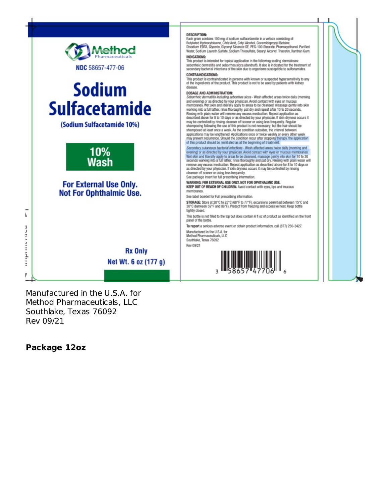

Manufactured in the U.S.A. for Method Pharmaceuticals, LLC Southlake, Texas 76092 Rev 09/21

#### **Package 12oz**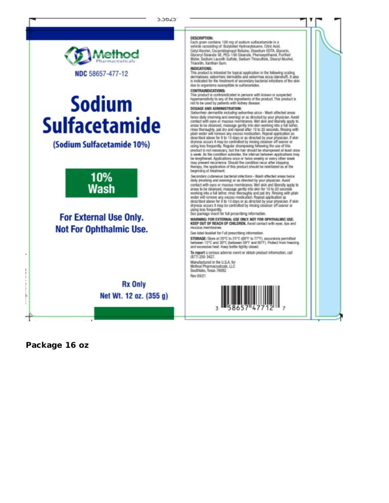

# **Sodium Sulfacetamide**

(Sodium Sulfacetamide 10%)



## For External Use Only. **Not For Ophthalmic Use.**

**Rx Only** Net Wt. 12 oz. (355 g) **DESCRIPTION:** 

Each gram contains 100 mg of sodium suffacetamide in a vehicle consisting of: Butylated Hydroxytoluene, Citric Acid, Cetyl Alcohol, Cocamidopropyl Betaine, Disodium EDTA, Glycerin, Glyceryl Stearate SE, PEG-100 Stearate, Phenoxyethanol, Purified<br>Water, Sodium Laureth Sulfate, Sodium Thiosulfate, Stearyl Alcohol, Triacetin, Xanthan Gum.

#### **INDICATIONS:**

This product is intended for topical application in the following scaling. dematises: seborrheic dermatitis and seborrhea sicca (dandruff). It also is indicated for the treatment of secondary bacterial infections of the skin due to organisms susceptible to sulfonamides.

#### **CONTRAINDICATIONS:**

This product is contraindicated in persons with known or suspected<br>hypersensitivity to any of the ingredients of the product. This product is<br>not to be used by patients with kidney disease.

#### DOSAGE AND ADMINISTRATION:

Seborrheic dermatitis including seborrhea sicca - Wash affected areas Sectionnelse.community and overning) or as directed by your physician. Avoid<br>to this disk (morning and overning) or as directed by your physician. Avoid<br>contact with eyes or mucous membranes. Wet skin and liberally apply t plain water will remove any excess medication. Repeat application as<br>described above for 8 to 10 days or as directed by your physician. If skin dryness occurs it may be controlled by rinsing cleanser off sooner or<br>using less frequently. Regular shampooing following the use of this product is not necessary, but the hair should be shampooed at least once<br>a week. As the condition subsides, the interval between applications may be lengthened. Applications once or twice weekly or every other week<br>may prevent recurrence. Should the condition recur after stopping therapy, the application of this product should be reinitiated as at the beginning of treatment.

Secondary cutaneous bacterial infections - Wash affected areas twice daily (morning and evening) or as directed by your physician. Avoid<br>contact with cycs or mucous membranes. Wet skin and liberally apply to connact wear sympatom and a greatly into skin for 10 to 20 seconds<br>areas to be deansed, massage gently into skin for 10 to 20 seconds<br>working into a full tittler, rinse thoroughly and pat dry. Rinsing with plain<br>water will dryness occurs it may be controlled by rinsing cleanser off sooner or using less frequently.

See package insert for full prescribing information.

WARNING: FOR EXTERNAL USE ONLY. NOT FOR OPHTHALMIC USE.<br>KEEP OUT OF REACH OF CHILDREN. Avoid contact with eyes, lips and mucous memi

See label booklet for Full prescribing information.

STORAGE: Store at 20°C to 25°C (68°F to 77°F), excursions permitted<br>between 15°C and 30°C (between 59°F and 86°F). Protect from freezing<br>and excessive heat. Keep bottle tightly closed.

To report a serious adverse event or obtain product information, call (877) 250-3427.

Manufactured in the U.S.A. for Method Pharmaceuticals, LLC Southlake, Texas 76092 Rev 09/21



Package 16 oz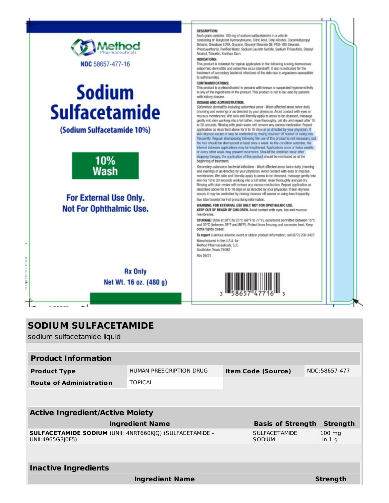

## **SODIUM SULFACETAMIDE**

sodium sulfacetamide liquid

| <b>Product Information</b>                                                          |                         |                           |                                |               |                             |  |  |  |
|-------------------------------------------------------------------------------------|-------------------------|---------------------------|--------------------------------|---------------|-----------------------------|--|--|--|
| <b>Product Type</b>                                                                 | HUMAN PRESCRIPTION DRUG | <b>Item Code (Source)</b> |                                | NDC:58657-477 |                             |  |  |  |
| <b>Route of Administration</b>                                                      | <b>TOPICAL</b>          |                           |                                |               |                             |  |  |  |
|                                                                                     |                         |                           |                                |               |                             |  |  |  |
| <b>Active Ingredient/Active Moiety</b>                                              |                         |                           |                                |               |                             |  |  |  |
| <b>Ingredient Name</b><br><b>Basis of Strength</b>                                  |                         |                           |                                |               | <b>Strength</b>             |  |  |  |
| <b>SULFACETAMIDE SODIUM (UNII: 4NRT660KJQ) (SULFACETAMIDE -</b><br>UNII:4965G3J0F5) |                         |                           | <b>SULFACETAMIDE</b><br>SODIUM |               | $100 \text{ mg}$<br>in $1q$ |  |  |  |
|                                                                                     |                         |                           |                                |               |                             |  |  |  |
| <b>Inactive Ingredients</b>                                                         |                         |                           |                                |               |                             |  |  |  |
|                                                                                     | <b>Ingredient Name</b>  |                           |                                |               | Strength                    |  |  |  |